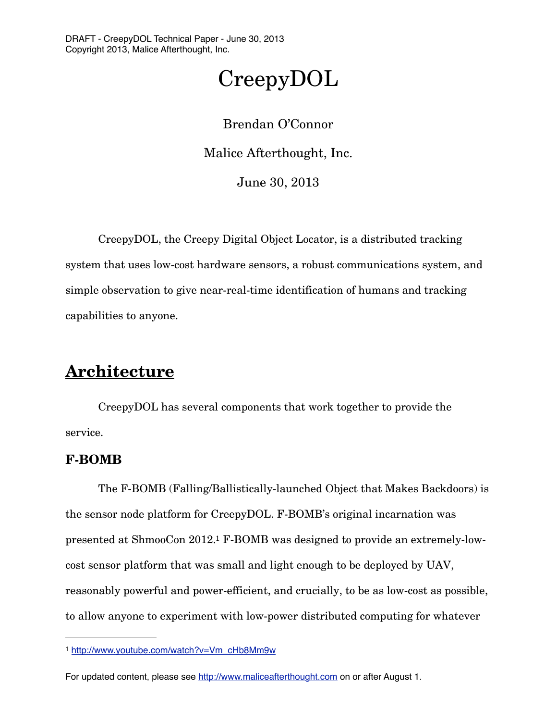# CreepyDOL

Brendan O'Connor Malice Afterthought, Inc. June 30, 2013

 CreepyDOL, the Creepy Digital Object Locator, is a distributed tracking system that uses low-cost hardware sensors, a robust communications system, and simple observation to give near-real-time identification of humans and tracking capabilities to anyone.

# **Architecture**

 CreepyDOL has several components that work together to provide the service.

# **F-BOMB**

 The F-BOMB (Falling/Ballistically-launched Object that Makes Backdoors) is the sensor node platform for CreepyDOL. F-BOMB's original incarnation was presented at ShmooCon 2012[.1](#page-0-0) F-BOMB was designed to provide an extremely-lowcost sensor platform that was small and light enough to be deployed by UAV, reasonably powerful and power-efficient, and crucially, to be as low-cost as possible, to allow anyone to experiment with low-power distributed computing for whatever

<span id="page-0-0"></span><sup>1</sup> [http://www.youtube.com/watch?v=Vm\\_cHb8Mm9w](http://www.youtube.com/watch?v=Vm_cHb8Mm9w)

For updated content, please see<http://www.maliceafterthought.com> on or after August 1.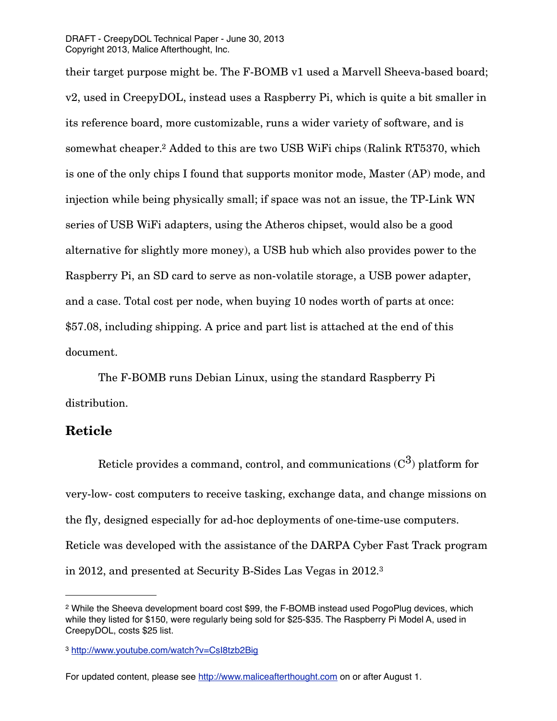their target purpose might be. The F-BOMB v1 used a Marvell Sheeva-based board; v2, used in CreepyDOL, instead uses a Raspberry Pi, which is quite a bit smaller in its reference board, more customizable, runs a wider variety of software, and is somewhat cheaper[.2](#page-1-0) Added to this are two USB WiFi chips (Ralink RT5370, which is one of the only chips I found that supports monitor mode, Master (AP) mode, and injection while being physically small; if space was not an issue, the TP-Link WN series of USB WiFi adapters, using the Atheros chipset, would also be a good alternative for slightly more money), a USB hub which also provides power to the Raspberry Pi, an SD card to serve as non-volatile storage, a USB power adapter, and a case. Total cost per node, when buying 10 nodes worth of parts at once: \$57.08, including shipping. A price and part list is attached at the end of this document.

 The F-BOMB runs Debian Linux, using the standard Raspberry Pi distribution.

# **Reticle**

Reticle provides a command, control, and communications  $(C^3)$  platform for very-low- cost computers to receive tasking, exchange data, and change missions on the fly, designed especially for ad-hoc deployments of one-time-use computers. Reticle was developed with the assistance of the DARPA Cyber Fast Track program in 2012, and presented at Security B-Sides Las Vegas in 2012.[3](#page-1-1)

<span id="page-1-0"></span><sup>2</sup> While the Sheeva development board cost \$99, the F-BOMB instead used PogoPlug devices, which while they listed for \$150, were regularly being sold for \$25-\$35. The Raspberry Pi Model A, used in CreepyDOL, costs \$25 list.

<span id="page-1-1"></span><sup>3</sup> <http://www.youtube.com/watch?v=CsI8tzb2Big>

For updated content, please see<http://www.maliceafterthought.com> on or after August 1.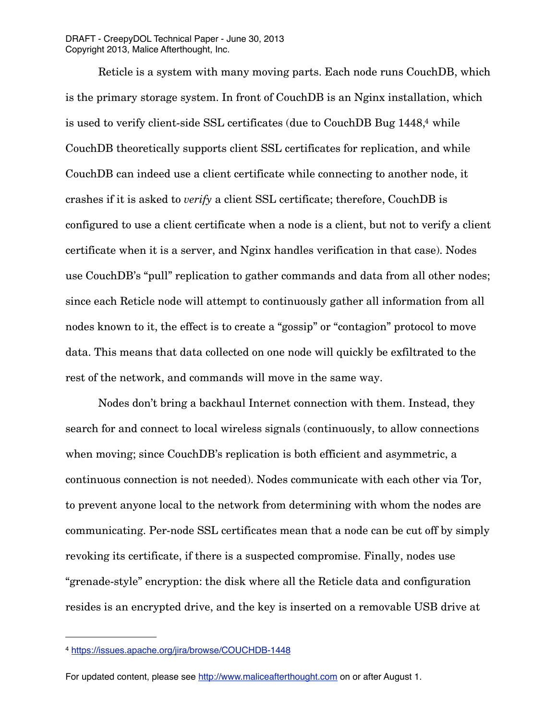DRAFT - CreepyDOL Technical Paper - June 30, 2013 Copyright 2013, Malice Afterthought, Inc.

 Reticle is a system with many moving parts. Each node runs CouchDB, which is the primary storage system. In front of CouchDB is an Nginx installation, which is used to verify client-side SSL certificates (due to CouchDB Bug 1448[,4](#page-2-0) while CouchDB theoretically supports client SSL certificates for replication, and while CouchDB can indeed use a client certificate while connecting to another node, it crashes if it is asked to *verify* a client SSL certificate; therefore, CouchDB is configured to use a client certificate when a node is a client, but not to verify a client certificate when it is a server, and Nginx handles verification in that case). Nodes use CouchDB's "pull" replication to gather commands and data from all other nodes; since each Reticle node will attempt to continuously gather all information from all nodes known to it, the effect is to create a "gossip" or "contagion" protocol to move data. This means that data collected on one node will quickly be exfiltrated to the rest of the network, and commands will move in the same way.

 Nodes don't bring a backhaul Internet connection with them. Instead, they search for and connect to local wireless signals (continuously, to allow connections when moving; since CouchDB's replication is both efficient and asymmetric, a continuous connection is not needed). Nodes communicate with each other via Tor, to prevent anyone local to the network from determining with whom the nodes are communicating. Per-node SSL certificates mean that a node can be cut off by simply revoking its certificate, if there is a suspected compromise. Finally, nodes use "grenade-style" encryption: the disk where all the Reticle data and configuration resides is an encrypted drive, and the key is inserted on a removable USB drive at

For updated content, please see<http://www.maliceafterthought.com> on or after August 1.

<span id="page-2-0"></span><sup>4</sup> <https://issues.apache.org/jira/browse/COUCHDB-1448>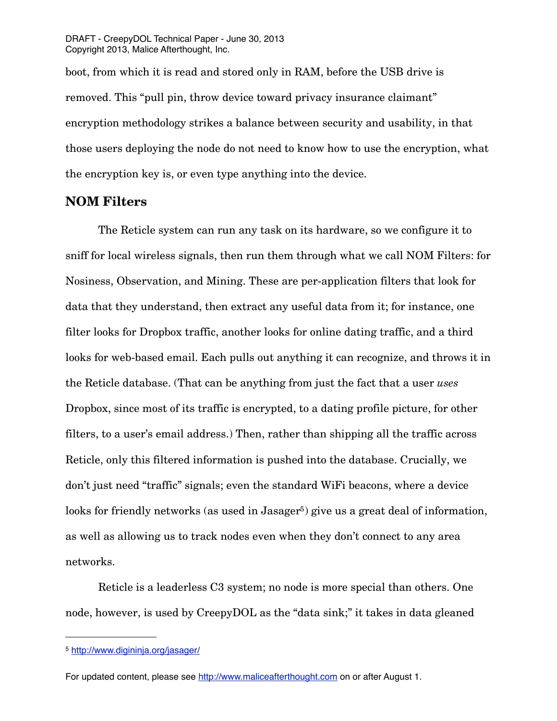DRAFT - CreepyDOL Technical Paper - June 30, 2013 Copyright 2013, Malice Afterthought, Inc.

boot, from which it is read and stored only in RAM, before the USB drive is removed. This "pull pin, throw device toward privacy insurance claimant" encryption methodology strikes a balance between security and usability, in that those users deploying the node do not need to know how to use the encryption, what the encryption key is, or even type anything into the device.

#### **NOM Filters**

 The Reticle system can run any task on its hardware, so we configure it to sniff for local wireless signals, then run them through what we call NOM Filters: for Nosiness, Observation, and Mining. These are per-application filters that look for data that they understand, then extract any useful data from it; for instance, one filter looks for Dropbox traffic, another looks for online dating traffic, and a third looks for web-based email. Each pulls out anything it can recognize, and throws it in the Reticle database. (That can be anything from just the fact that a user *uses* Dropbox, since most of its traffic is encrypted, to a dating profile picture, for other filters, to a user's email address.) Then, rather than shipping all the traffic across Reticle, only this filtered information is pushed into the database. Crucially, we don't just need "traffic" signals; even the standard WiFi beacons, where a device looks for friendly networks (as used in Jasager<sup>5</sup>) give us a great deal of information, as well as allowing us to track nodes even when they don't connect to any area networks.

 Reticle is a leaderless C3 system; no node is more special than others. One node, however, is used by CreepyDOL as the "data sink;" it takes in data gleaned

<span id="page-3-0"></span><sup>5</sup> <http://www.digininja.org/jasager/>

For updated content, please see<http://www.maliceafterthought.com> on or after August 1.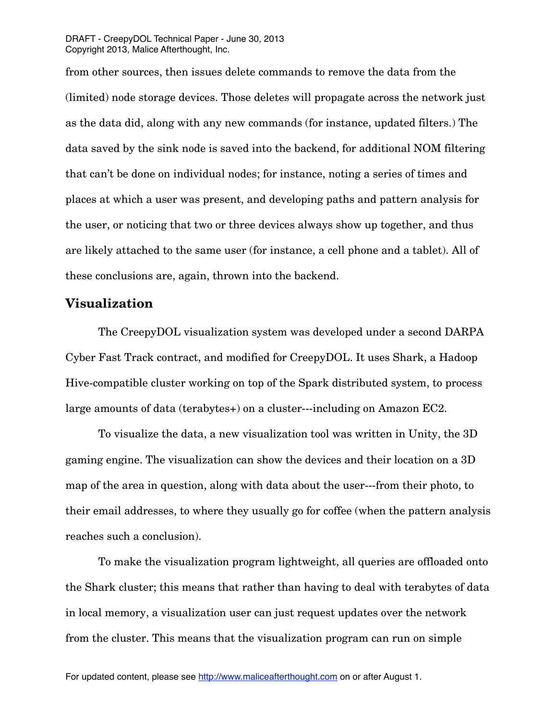from other sources, then issues delete commands to remove the data from the (limited) node storage devices. Those deletes will propagate across the network just as the data did, along with any new commands (for instance, updated filters.) The data saved by the sink node is saved into the backend, for additional NOM filtering that can't be done on individual nodes; for instance, noting a series of times and places at which a user was present, and developing paths and pattern analysis for the user, or noticing that two or three devices always show up together, and thus are likely attached to the same user (for instance, a cell phone and a tablet). All of these conclusions are, again, thrown into the backend.

#### **Visualization**

 The CreepyDOL visualization system was developed under a second DARPA Cyber Fast Track contract, and modified for CreepyDOL. It uses Shark, a Hadoop Hive-compatible cluster working on top of the Spark distributed system, to process large amounts of data (terabytes+) on a cluster---including on Amazon EC2.

 To visualize the data, a new visualization tool was written in Unity, the 3D gaming engine. The visualization can show the devices and their location on a 3D map of the area in question, along with data about the user---from their photo, to their email addresses, to where they usually go for coffee (when the pattern analysis reaches such a conclusion).

 To make the visualization program lightweight, all queries are offloaded onto the Shark cluster; this means that rather than having to deal with terabytes of data in local memory, a visualization user can just request updates over the network from the cluster. This means that the visualization program can run on simple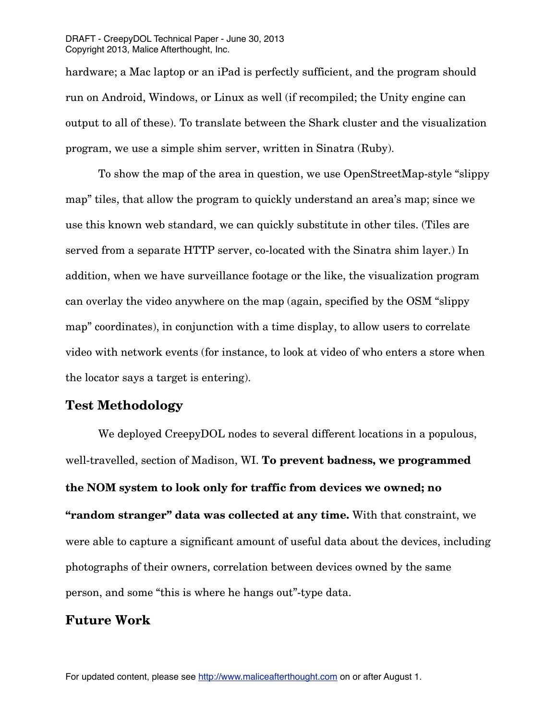hardware; a Mac laptop or an iPad is perfectly sufficient, and the program should run on Android, Windows, or Linux as well (if recompiled; the Unity engine can output to all of these). To translate between the Shark cluster and the visualization program, we use a simple shim server, written in Sinatra (Ruby).

 To show the map of the area in question, we use OpenStreetMap-style "slippy map" tiles, that allow the program to quickly understand an area's map; since we use this known web standard, we can quickly substitute in other tiles. (Tiles are served from a separate HTTP server, co-located with the Sinatra shim layer.) In addition, when we have surveillance footage or the like, the visualization program can overlay the video anywhere on the map (again, specified by the OSM "slippy map" coordinates), in conjunction with a time display, to allow users to correlate video with network events (for instance, to look at video of who enters a store when the locator says a target is entering).

# **Test Methodology**

 We deployed CreepyDOL nodes to several different locations in a populous, well-travelled, section of Madison, WI. **To prevent badness, we programmed the NOM system to look only for traffic from devices we owned; no "random stranger" data was collected at any time.** With that constraint, we were able to capture a significant amount of useful data about the devices, including photographs of their owners, correlation between devices owned by the same person, and some "this is where he hangs out"-type data.

# **Future Work**

For updated content, please see<http://www.maliceafterthought.com> on or after August 1.